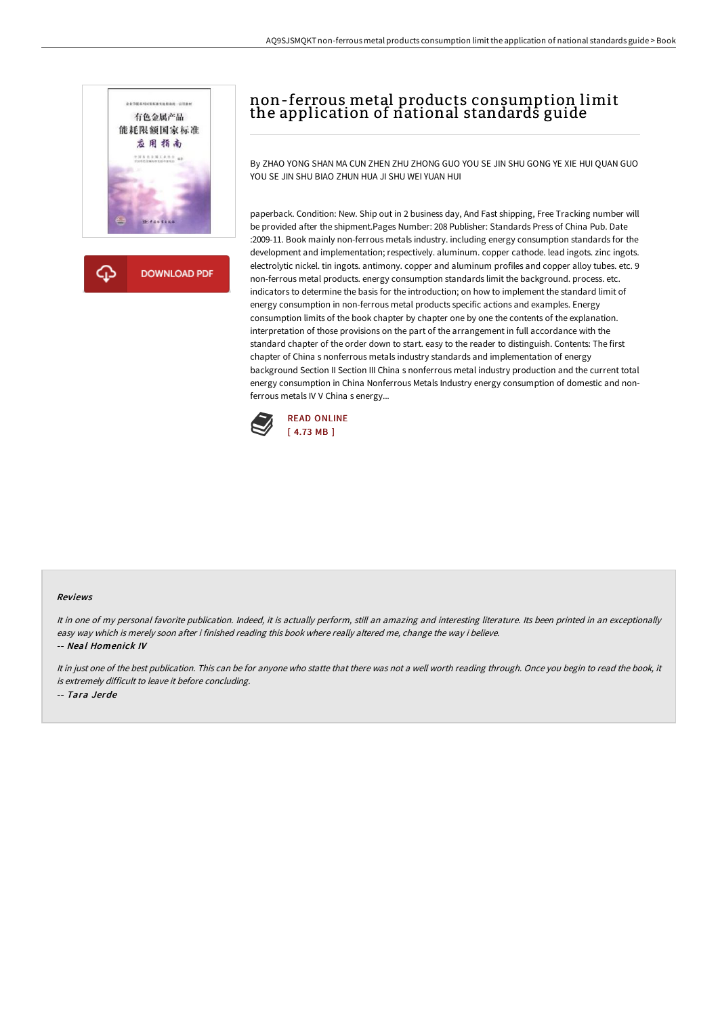

**DOWNLOAD PDF** 

## non-ferrous metal products consumption limit the application of national standards guide

By ZHAO YONG SHAN MA CUN ZHEN ZHU ZHONG GUO YOU SE JIN SHU GONG YE XIE HUI QUAN GUO YOU SE JIN SHU BIAO ZHUN HUA JI SHU WEI YUAN HUI

paperback. Condition: New. Ship out in 2 business day, And Fast shipping, Free Tracking number will be provided after the shipment.Pages Number: 208 Publisher: Standards Press of China Pub. Date :2009-11. Book mainly non-ferrous metals industry. including energy consumption standards for the development and implementation; respectively. aluminum. copper cathode. lead ingots. zinc ingots. electrolytic nickel. tin ingots. antimony. copper and aluminum profiles and copper alloy tubes. etc. 9 non-ferrous metal products. energy consumption standards limit the background. process. etc. indicators to determine the basis for the introduction; on how to implement the standard limit of energy consumption in non-ferrous metal products specific actions and examples. Energy consumption limits of the book chapter by chapter one by one the contents of the explanation. interpretation of those provisions on the part of the arrangement in full accordance with the standard chapter of the order down to start. easy to the reader to distinguish. Contents: The first chapter of China s nonferrous metals industry standards and implementation of energy background Section II Section III China s nonferrous metal industry production and the current total energy consumption in China Nonferrous Metals Industry energy consumption of domestic and nonferrous metals IV V China s energy...



## Reviews

It in one of my personal favorite publication. Indeed, it is actually perform, still an amazing and interesting literature. Its been printed in an exceptionally easy way which is merely soon after i finished reading this book where really altered me, change the way i believe. -- Neal Homenick IV

It in just one of the best publication. This can be for anyone who statte that there was not <sup>a</sup> well worth reading through. Once you begin to read the book, it is extremely difficult to leave it before concluding.

-- Tara Jerde